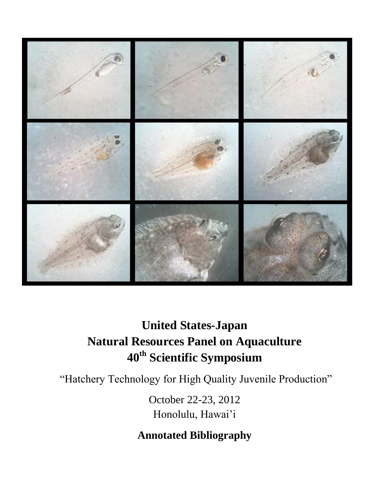

# **United States-Japan Natural Resources Panel on Aquaculture 40th Scientific Symposium**

"Hatchery Technology for High Quality Juvenile Production"

October 22-23, 2012 Honolulu, Hawai'i

**Annotated Bibliography**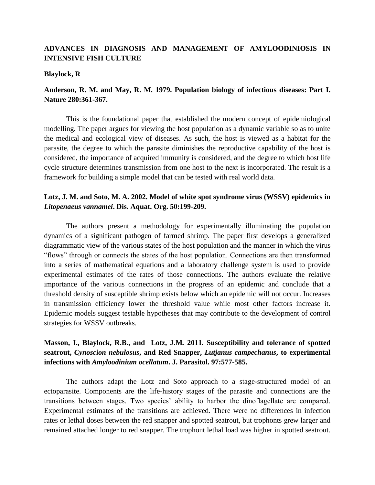#### **ADVANCES IN DIAGNOSIS AND MANAGEMENT OF AMYLOODINIOSIS IN INTENSIVE FISH CULTURE**

#### **Blaylock, R**

#### **Anderson, R. M. and May, R. M. 1979. Population biology of infectious diseases: Part I. Nature 280:361-367.**

This is the foundational paper that established the modern concept of epidemiological modelling. The paper argues for viewing the host population as a dynamic variable so as to unite the medical and ecological view of diseases. As such, the host is viewed as a habitat for the parasite, the degree to which the parasite diminishes the reproductive capability of the host is considered, the importance of acquired immunity is considered, and the degree to which host life cycle structure determines transmission from one host to the next is incorporated. The result is a framework for building a simple model that can be tested with real world data.

#### **Lotz, J. M. and Soto, M. A. 2002. Model of white spot syndrome virus (WSSV) epidemics in**  *Litopenaeus vannamei***. Dis. Aquat. Org. 50:199-209.**

The authors present a methodology for experimentally illuminating the population dynamics of a significant pathogen of farmed shrimp. The paper first develops a generalized diagrammatic view of the various states of the host population and the manner in which the virus "flows" through or connects the states of the host population. Connections are then transformed into a series of mathematical equations and a laboratory challenge system is used to provide experimental estimates of the rates of those connections. The authors evaluate the relative importance of the various connections in the progress of an epidemic and conclude that a threshold density of susceptible shrimp exists below which an epidemic will not occur. Increases in transmission efficiency lower the threshold value while most other factors increase it. Epidemic models suggest testable hypotheses that may contribute to the development of control strategies for WSSV outbreaks.

#### **Masson, I., Blaylock, R.B., and Lotz, J.M***.* **2011***.* **Susceptibility and tolerance of spotted seatrout,** *Cynoscion nebulosus***, and Red Snapper,** *Lutjanus campechanus***, to experimental infections with** *Amyloodinium ocellatum***. J. Parasitol. 97:577-585.**

The authors adapt the Lotz and Soto approach to a stage-structured model of an ectoparasite. Components are the life-history stages of the parasite and connections are the transitions between stages. Two species' ability to harbor the dinoflagellate are compared. Experimental estimates of the transitions are achieved. There were no differences in infection rates or lethal doses between the red snapper and spotted seatrout, but trophonts grew larger and remained attached longer to red snapper. The trophont lethal load was higher in spotted seatrout.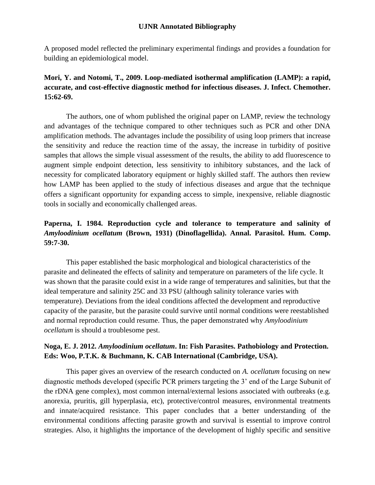A proposed model reflected the preliminary experimental findings and provides a foundation for building an epidemiological model.

# **Mori, Y. and Notomi, T., 2009. Loop-mediated isothermal amplification (LAMP): a rapid, accurate, and cost-effective diagnostic method for infectious diseases. J. Infect. Chemother. 15:62-69.**

The authors, one of whom published the original paper on LAMP, review the technology and advantages of the technique compared to other techniques such as PCR and other DNA amplification methods. The advantages include the possibility of using loop primers that increase the sensitivity and reduce the reaction time of the assay, the increase in turbidity of positive samples that allows the simple visual assessment of the results, the ability to add fluorescence to augment simple endpoint detection, less sensitivity to inhibitory substances, and the lack of necessity for complicated laboratory equipment or highly skilled staff. The authors then review how LAMP has been applied to the study of infectious diseases and argue that the technique offers a significant opportunity for expanding access to simple, inexpensive, reliable diagnostic tools in socially and economically challenged areas.

### **Paperna, I. 1984. Reproduction cycle and tolerance to temperature and salinity of**  *Amyloodinium ocellatum* **(Brown, 1931) (Dinoflagellida). Annal. Parasitol. Hum. Comp. 59:7-30.**

This paper established the basic morphological and biological characteristics of the parasite and delineated the effects of salinity and temperature on parameters of the life cycle. It was shown that the parasite could exist in a wide range of temperatures and salinities, but that the ideal temperature and salinity 25C and 33 PSU (although salinity tolerance varies with temperature). Deviations from the ideal conditions affected the development and reproductive capacity of the parasite, but the parasite could survive until normal conditions were reestablished and normal reproduction could resume. Thus, the paper demonstrated why *Amyloodinium ocellatum* is should a troublesome pest.

#### **Noga, E. J. 2012.** *Amyloodinium ocellatum***. In: Fish Parasites. Pathobiology and Protection. Eds: Woo, P.T.K. & Buchmann, K. CAB International (Cambridge, USA).**

This paper gives an overview of the research conducted on *A. ocellatum* focusing on new diagnostic methods developed (specific PCR primers targeting the 3' end of the Large Subunit of the rDNA gene complex), most common internal/external lesions associated with outbreaks (e.g. anorexia, pruritis, gill hyperplasia, etc), protective/control measures, environmental treatments and innate/acquired resistance. This paper concludes that a better understanding of the environmental conditions affecting parasite growth and survival is essential to improve control strategies. Also, it highlights the importance of the development of highly specific and sensitive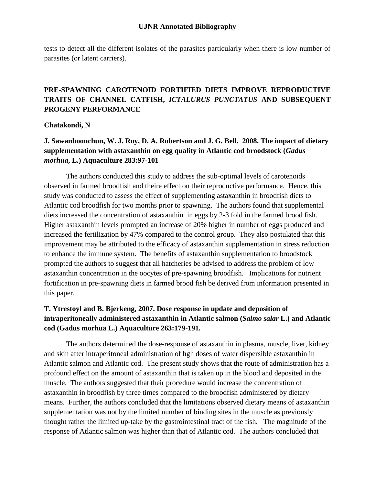tests to detect all the different isolates of the parasites particularly when there is low number of parasites (or latent carriers).

### **PRE-SPAWNING CAROTENOID FORTIFIED DIETS IMPROVE REPRODUCTIVE TRAITS OF CHANNEL CATFISH,** *ICTALURUS PUNCTATUS* **AND SUBSEQUENT PROGENY PERFORMANCE**

#### **Chatakondi, N**

### **J. Sawanboonchun, W. J. Roy, D. A. Robertson and J. G. Bell. 2008. The impact of dietary supplementation with astaxanthin on egg quality in Atlantic cod broodstock (***Gadus morhua***, L.) Aquaculture 283:97-101**

The authors conducted this study to address the sub-optimal levels of carotenoids observed in farmed broodfish and theire effect on their reproductive performance. Hence, this study was conducted to assess the effect of supplementing astaxanthin in broodfish diets to Atlantic cod broodfish for two months prior to spawning. The authors found that supplemental diets increased the concentration of astaxanthin in eggs by 2-3 fold in the farmed brood fish. Higher astaxanthin levels prompted an increase of 20% higher in number of eggs produced and increased the fertilization by 47% compared to the control group. They also postulated that this improvement may be attributed to the efficacy of astaxanthin supplementation in stress reduction to enhance the immune system. The benefits of astaxanthin supplementation to broodstock prompted the authors to suggest that all hatcheries be advised to address the problem of low astaxanthin concentration in the oocytes of pre-spawning broodfish. Implications for nutrient fortification in pre-spawning diets in farmed brood fish be derived from information presented in this paper.

### **T. Ytrestoyl and B. Bjerkeng, 2007. Dose response in update and deposition of intraperitoneally administered astaxanthin in Atlantic salmon (***Salmo salar* **L.) and Atlantic cod (Gadus morhua L.) Aquaculture 263:179-191.**

The authors determined the dose-response of astaxanthin in plasma, muscle, liver, kidney and skin after intraperitoneal administration of hgh doses of water dispersible astaxanthin in Atlantic salmon and Atlantic cod. The present study shows that the route of administration has a profound effect on the amount of astaxanthin that is taken up in the blood and deposited in the muscle. The authors suggested that their procedure would increase the concentration of astaxanthin in broodfish by three times compared to the broodfish administered by dietary means. Further, the authors concluded that the limitations observed dietary means of astaxanthin supplementation was not by the limited number of binding sites in the muscle as previously thought rather the limited up-take by the gastrointestinal tract of the fish. The magnitude of the response of Atlantic salmon was higher than that of Atlantic cod. The authors concluded that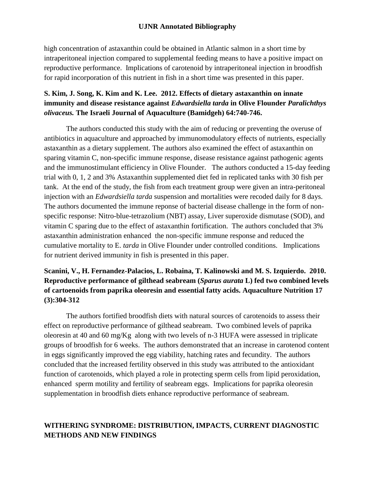high concentration of astaxanthin could be obtained in Atlantic salmon in a short time by intraperitoneal injection compared to supplemental feeding means to have a positive impact on reproductive performance. Implications of carotenoid by intraperitoneal injection in broodfish for rapid incorporation of this nutrient in fish in a short time was presented in this paper.

### **S. Kim, J. Song, K. Kim and K. Lee. 2012. Effects of dietary astaxanthin on innate immunity and disease resistance against** *Edwardsiella tarda* **in Olive Flounder** *Paralichthys olivaceus.* **The Israeli Journal of Aquaculture (Bamidgeh) 64:740-746.**

The authors conducted this study with the aim of reducing or preventing the overuse of antibiotics in aquaculture and approached by immunomodulatory effects of nutrients, especially astaxanthin as a dietary supplement. The authors also examined the effect of astaxanthin on sparing vitamin C, non-specific immune response, disease resistance against pathogenic agents and the immunostimulant efficiency in Olive Flounder. The authors conducted a 15-day feeding trial with 0, 1, 2 and 3% Astaxanthin supplemented diet fed in replicated tanks with 30 fish per tank. At the end of the study, the fish from each treatment group were given an intra-peritoneal injection with an *Edwardsiella tarda* suspension and mortalities were recoded daily for 8 days. The authors documented the immune reponse of bacterial disease challenge in the form of nonspecific response: Nitro-blue-tetrazolium (NBT) assay, Liver superoxide dismutase (SOD), and vitamin C sparing due to the effect of astaxanthin fortification. The authors concluded that 3% astaxanthin administration enhanced the non-specific immune response and reduced the cumulative mortality to E. *tarda* in Olive Flounder under controlled conditions. Implications for nutrient derived immunity in fish is presented in this paper.

### **Scanini, V., H. Fernandez-Palacios, L. Robaina, T. Kalinowski and M. S. Izquierdo. 2010. Reproductive performance of gilthead seabream (***Sparus aurata* **L) fed two combined levels of cartoenoids from paprika oleoresin and essential fatty acids. Aquaculture Nutrition 17 (3):304-312**

The authors fortified broodfish diets with natural sources of carotenoids to assess their effect on reproductive performance of gilthead seabream. Two combined levels of paprika oleoresin at 40 and 60 mg/Kg along with two levels of n-3 HUFA were assessed in triplicate groups of broodfish for 6 weeks. The authors demonstrated that an increase in carotenod content in eggs significantly improved the egg viability, hatching rates and fecundity. The authors concluded that the increased fertility observed in this study was attributed to the antioxidant function of carotenoids, which played a role in protecting sperm cells from lipid peroxidation, enhanced sperm motility and fertility of seabream eggs. Implications for paprika oleoresin supplementation in broodfish diets enhance reproductive performance of seabream.

# **WITHERING SYNDROME: DISTRIBUTION, IMPACTS, CURRENT DIAGNOSTIC METHODS AND NEW FINDINGS**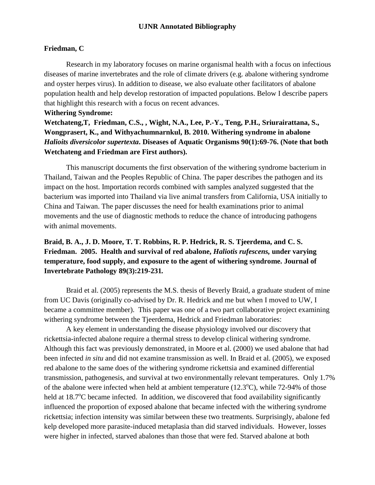#### **Friedman, C**

Research in my laboratory focuses on marine organismal health with a focus on infectious diseases of marine invertebrates and the role of climate drivers (e.g. abalone withering syndrome and oyster herpes virus). In addition to disease, we also evaluate other facilitators of abalone population health and help develop restoration of impacted populations. Below I describe papers that highlight this research with a focus on recent advances.

#### **Withering Syndrome:**

**Wetchateng,T, Friedman, C.S., , Wight, N.A., Lee, P.-Y., Teng, P.H., Sriurairattana, S., Wongprasert, K., and Withyachumnarnkul, B. 2010. Withering syndrome in abalone**  *Halioits diversicolor supertexta***. Diseases of Aquatic Organisms 90(1):69-76. (Note that both Wetchateng and Friedman are First authors).**

This manuscript documents the first observation of the withering syndrome bacterium in Thailand, Taiwan and the Peoples Republic of China. The paper describes the pathogen and its impact on the host. Importation records combined with samples analyzed suggested that the bacterium was imported into Thailand via live animal transfers from California, USA initially to China and Taiwan. The paper discusses the need for health examinations prior to animal movements and the use of diagnostic methods to reduce the chance of introducing pathogens with animal movements.

# **Braid, B. A., J. D. Moore, T. T. Robbins, R. P. Hedrick, R. S. Tjeerdema, and C. S. Friedman. 2005. Health and survival of red abalone,** *Haliotis rufescens,* **under varying temperature, food supply, and exposure to the agent of withering syndrome. Journal of Invertebrate Pathology 89(3):219-231***.*

Braid et al. (2005) represents the M.S. thesis of Beverly Braid, a graduate student of mine from UC Davis (originally co-advised by Dr. R. Hedrick and me but when I moved to UW, I became a committee member). This paper was one of a two part collaborative project examining withering syndrome between the Tjeerdema, Hedrick and Friedman laboratories:

A key element in understanding the disease physiology involved our discovery that rickettsia-infected abalone require a thermal stress to develop clinical withering syndrome. Although this fact was previously demonstrated, in Moore et al. (2000) we used abalone that had been infected *in situ* and did not examine transmission as well. In Braid et al. (2005), we exposed red abalone to the same does of the withering syndrome rickettsia and examined differential transmission, pathogenesis, and survival at two environmentally relevant temperatures. Only 1.7% of the abalone were infected when held at ambient temperature  $(12.3^{\circ}C)$ , while 72-94% of those held at  $18.7^{\circ}$ C became infected. In addition, we discovered that food availability significantly influenced the proportion of exposed abalone that became infected with the withering syndrome rickettsia; infection intensity was similar between these two treatments. Surprisingly, abalone fed kelp developed more parasite-induced metaplasia than did starved individuals. However, losses were higher in infected, starved abalones than those that were fed. Starved abalone at both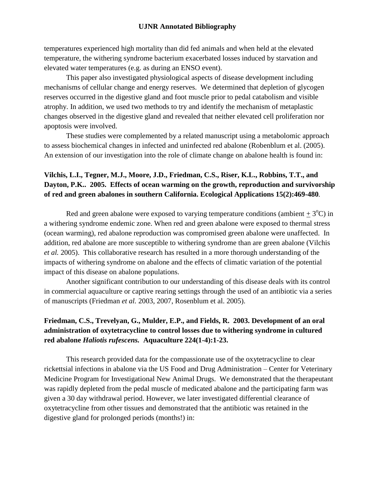temperatures experienced high mortality than did fed animals and when held at the elevated temperature, the withering syndrome bacterium exacerbated losses induced by starvation and elevated water temperatures (e.g. as during an ENSO event).

This paper also investigated physiological aspects of disease development including mechanisms of cellular change and energy reserves. We determined that depletion of glycogen reserves occurred in the digestive gland and foot muscle prior to pedal catabolism and visible atrophy. In addition, we used two methods to try and identify the mechanism of metaplastic changes observed in the digestive gland and revealed that neither elevated cell proliferation nor apoptosis were involved.

These studies were complemented by a related manuscript using a metabolomic approach to assess biochemical changes in infected and uninfected red abalone (Robenblum et al. (2005). An extension of our investigation into the role of climate change on abalone health is found in:

### **Vilchis, L.I., Tegner, M.J., Moore, J.D., Friedman, C.S., Riser, K.L., Robbins, T.T., and Dayton, P.K.. 2005. Effects of ocean warming on the growth, reproduction and survivorship of red and green abalones in southern California. Ecological Applications 15(2):469-480***.*

Red and green abalone were exposed to varying temperature conditions (ambient  $\pm 3^{\circ}$ C) in a withering syndrome endemic zone. When red and green abalone were exposed to thermal stress (ocean warming), red abalone reproduction was compromised green abalone were unaffected. In addition, red abalone are more susceptible to withering syndrome than are green abalone (Vilchis *et al.* 2005). This collaborative research has resulted in a more thorough understanding of the impacts of withering syndrome on abalone and the effects of climatic variation of the potential impact of this disease on abalone populations.

Another significant contribution to our understanding of this disease deals with its control in commercial aquaculture or captive rearing settings through the used of an antibiotic via a series of manuscripts (Friedman *et al.* 2003, 2007, Rosenblum et al. 2005).

### **Friedman, C.S., Trevelyan, G., Mulder, E.P., and Fields, R. 2003. Development of an oral administration of oxytetracycline to control losses due to withering syndrome in cultured red abalone** *Haliotis rufescens.* **Aquaculture 224(1-4):1-23.**

This research provided data for the compassionate use of the oxytetracycline to clear rickettsial infections in abalone via the US Food and Drug Administration – Center for Veterinary Medicine Program for Investigational New Animal Drugs. We demonstrated that the therapeutant was rapidly depleted from the pedal muscle of medicated abalone and the participating farm was given a 30 day withdrawal period. However, we later investigated differential clearance of oxytetracycline from other tissues and demonstrated that the antibiotic was retained in the digestive gland for prolonged periods (months!) in: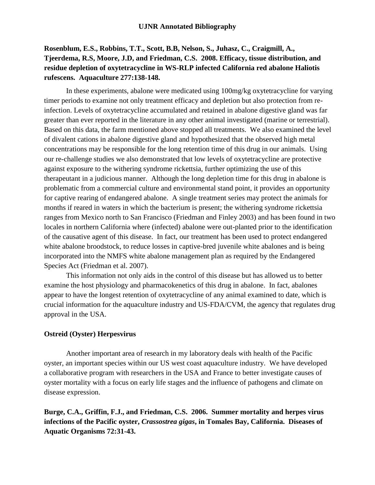### **Rosenblum, E.S., Robbins, T.T., Scott, B.B, Nelson, S., Juhasz, C., Craigmill, A., Tjeerdema, R.S, Moore, J.D, and Friedman, C.S. 2008. Efficacy, tissue distribution, and residue depletion of oxytetracycline in WS-RLP infected California red abalone Haliotis rufescens. Aquaculture 277:138-148.**

In these experiments, abalone were medicated using 100mg/kg oxytetracycline for varying timer periods to examine not only treatment efficacy and depletion but also protection from reinfection. Levels of oxytetracycline accumulated and retained in abalone digestive gland was far greater than ever reported in the literature in any other animal investigated (marine or terrestrial). Based on this data, the farm mentioned above stopped all treatments. We also examined the level of divalent cations in abalone digestive gland and hypothesized that the observed high metal concentrations may be responsible for the long retention time of this drug in our animals. Using our re-challenge studies we also demonstrated that low levels of oxytetracycline are protective against exposure to the withering syndrome rickettsia, further optimizing the use of this therapeutant in a judicious manner. Although the long depletion time for this drug in abalone is problematic from a commercial culture and environmental stand point, it provides an opportunity for captive rearing of endangered abalone. A single treatment series may protect the animals for months if reared in waters in which the bacterium is present; the withering syndrome rickettsia ranges from Mexico north to San Francisco (Friedman and Finley 2003) and has been found in two locales in northern California where (infected) abalone were out-planted prior to the identification of the causative agent of this disease. In fact, our treatment has been used to protect endangered white abalone broodstock, to reduce losses in captive-bred juvenile white abalones and is being incorporated into the NMFS white abalone management plan as required by the Endangered Species Act (Friedman et al. 2007).

This information not only aids in the control of this disease but has allowed us to better examine the host physiology and pharmacokenetics of this drug in abalone. In fact, abalones appear to have the longest retention of oxytetracycline of any animal examined to date, which is crucial information for the aquaculture industry and US-FDA/CVM, the agency that regulates drug approval in the USA.

#### **Ostreid (Oyster) Herpesvirus**

Another important area of research in my laboratory deals with health of the Pacific oyster, an important species within our US west coast aquaculture industry. We have developed a collaborative program with researchers in the USA and France to better investigate causes of oyster mortality with a focus on early life stages and the influence of pathogens and climate on disease expression.

**Burge, C.A., Griffin, F.J., and Friedman, C.S. 2006. Summer mortality and herpes virus infections of the Pacific oyster,** *Crassostrea gigas***, in Tomales Bay, California. Diseases of Aquatic Organisms 72:31-43.**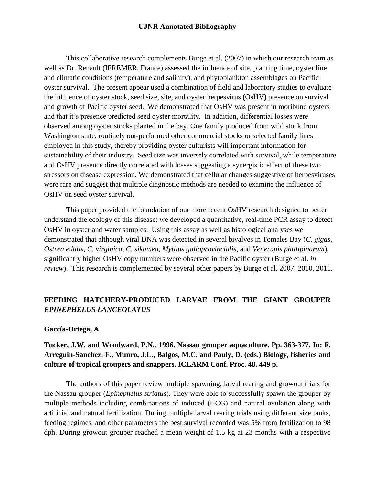This collaborative research complements Burge et al. (2007) in which our research team as well as Dr. Renault (IFREMER, France) assessed the influence of site, planting time, oyster line and climatic conditions (temperature and salinity), and phytoplankton assemblages on Pacific oyster survival. The present appear used a combination of field and laboratory studies to evaluate the influence of oyster stock, seed size, site, and oyster herpesvirus (OsHV) presence on survival and growth of Pacific oyster seed. We demonstrated that OsHV was present in moribund oysters and that it's presence predicted seed oyster mortality. In addition, differential losses were observed among oyster stocks planted in the bay. One family produced from wild stock from Washington state, routinely out-performed other commercial stocks or selected family lines employed in this study, thereby providing oyster culturists will important information for sustainability of their industry. Seed size was inversely correlated with survival, while temperature and OsHV presence directly correlated with losses suggesting a synergistic effect of these two stressors on disease expression. We demonstrated that cellular changes suggestive of herpesviruses were rare and suggest that multiple diagnostic methods are needed to examine the influence of OsHV on seed oyster survival.

This paper provided the foundation of our more recent OsHV research designed to better understand the ecology of this disease: we developed a quantitative, real-time PCR assay to detect OsHV in oyster and water samples. Using this assay as well as histological analyses we demonstrated that although viral DNA was detected in several bivalves in Tomales Bay (*C. gigas*, *Ostrea edulis*, *C. virginica*, *C. sikamea, Mytilus galloprovincialis*, and *Venerupis phillipinarum*), significantly higher OsHV copy numbers were observed in the Pacific oyster (Burge et al. *in review*). This research is complemented by several other papers by Burge et al. 2007, 2010, 2011.

### **FEEDING HATCHERY-PRODUCED LARVAE FROM THE GIANT GROUPER**  *EPINEPHELUS LANCEOLATUS*

#### **García-Ortega, A**

#### **Tucker, J.W. and Woodward, P.N.. 1996. Nassau grouper aquaculture. Pp. 363-377. In: F. Arreguin-Sanchez, F., Munro, J.L., Balgos, M.C. and Pauly, D. (eds.) Biology, fisheries and culture of tropical groupers and snappers. ICLARM Conf. Proc. 48. 449 p.**

The authors of this paper review multiple spawning, larval rearing and growout trials for the Nassau grouper (*Epinephelus striatus*). They were able to successfully spawn the grouper by multiple methods including combinations of induced (HCG) and natural ovulation along with artificial and natural fertilization. During multiple larval rearing trials using different size tanks, feeding regimes, and other parameters the best survival recorded was 5% from fertilization to 98 dph. During growout grouper reached a mean weight of 1.5 kg at 23 months with a respective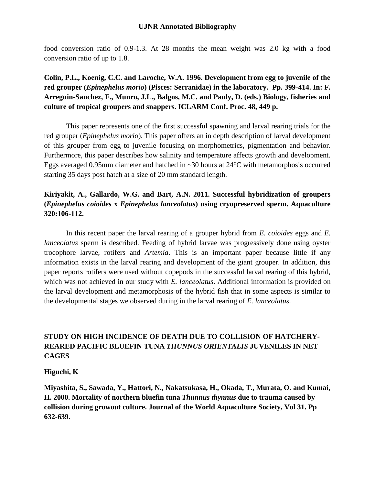food conversion ratio of 0.9-1.3. At 28 months the mean weight was 2.0 kg with a food conversion ratio of up to 1.8.

**Colin, P.L., Koenig, C.C. and Laroche, W.A. 1996. Development from egg to juvenile of the red grouper (***Epinephelus morio***) (Pisces: Serranidae) in the laboratory. Pp. 399-414. In: F. Arreguin-Sanchez, F., Munro, J.L., Balgos, M.C. and Pauly, D. (eds.) Biology, fisheries and culture of tropical groupers and snappers. ICLARM Conf. Proc. 48, 449 p.**

This paper represents one of the first successful spawning and larval rearing trials for the red grouper (*Epinephelus morio*). This paper offers an in depth description of larval development of this grouper from egg to juvenile focusing on morphometrics, pigmentation and behavior. Furthermore, this paper describes how salinity and temperature affects growth and development. Eggs averaged 0.95mm diameter and hatched in  $\sim$ 30 hours at 24 $\degree$ C with metamorphosis occurred starting 35 days post hatch at a size of 20 mm standard length.

### **Kiriyakit, A., Gallardo, W.G. and Bart, A.N. 2011. Successful hybridization of groupers (***Epinephelus coioides* **x** *Epinephelus lanceolatus***) using cryopreserved sperm. Aquaculture 320:106-112.**

In this recent paper the larval rearing of a grouper hybrid from *E. coioides* eggs and *E. lanceolatus* sperm is described. Feeding of hybrid larvae was progressively done using oyster trocophore larvae, rotifers and *Artemia*. This is an important paper because little if any information exists in the larval rearing and development of the giant grouper. In addition, this paper reports rotifers were used without copepods in the successful larval rearing of this hybrid, which was not achieved in our study with *E. lanceolatus*. Additional information is provided on the larval development and metamorphosis of the hybrid fish that in some aspects is similar to the developmental stages we observed during in the larval rearing of *E. lanceolatus*.

#### **STUDY ON HIGH INCIDENCE OF DEATH DUE TO COLLISION OF HATCHERY-REARED PACIFIC BLUEFIN TUNA** *THUNNUS ORIENTALIS* **JUVENILES IN NET CAGES**

#### **Higuchi, K**

**Miyashita, S., Sawada, Y., Hattori, N., Nakatsukasa, H., Okada, T., Murata, O. and Kumai, H. 2000. Mortality of northern bluefin tuna** *Thunnus thynnus* **due to trauma caused by collision during growout culture. Journal of the World Aquaculture Society, Vol 31. Pp 632-639.**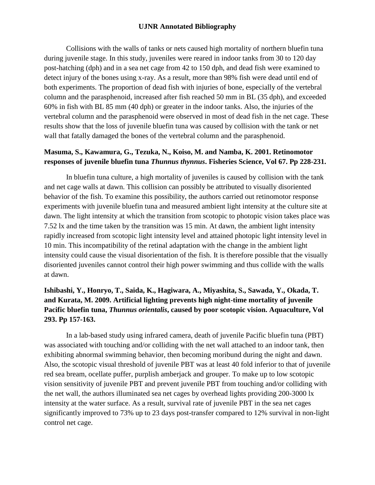Collisions with the walls of tanks or nets caused high mortality of northern bluefin tuna during juvenile stage. In this study, juveniles were reared in indoor tanks from 30 to 120 day post-hatching (dph) and in a sea net cage from 42 to 150 dph, and dead fish were examined to detect injury of the bones using x-ray. As a result, more than 98% fish were dead until end of both experiments. The proportion of dead fish with injuries of bone, especially of the vertebral column and the parasphenoid, increased after fish reached 50 mm in BL (35 dph), and exceeded 60% in fish with BL 85 mm (40 dph) or greater in the indoor tanks. Also, the injuries of the vertebral column and the parasphenoid were observed in most of dead fish in the net cage. These results show that the loss of juvenile bluefin tuna was caused by collision with the tank or net wall that fatally damaged the bones of the vertebral column and the parasphenoid.

#### **Masuma, S., Kawamura, G., Tezuka, N., Koiso, M. and Namba, K. 2001. Retinomotor responses of juvenile bluefin tuna** *Thunnus thynnus***. Fisheries Science, Vol 67. Pp 228-231.**

In bluefin tuna culture, a high mortality of juveniles is caused by collision with the tank and net cage walls at dawn. This collision can possibly be attributed to visually disoriented behavior of the fish. To examine this possibility, the authors carried out retinomotor response experiments with juvenile bluefin tuna and measured ambient light intensity at the culture site at dawn. The light intensity at which the transition from scotopic to photopic vision takes place was 7.52 lx and the time taken by the transition was 15 min. At dawn, the ambient light intensity rapidly increased from scotopic light intensity level and attained photopic light intensity level in 10 min. This incompatibility of the retinal adaptation with the change in the ambient light intensity could cause the visual disorientation of the fish. It is therefore possible that the visually disoriented juveniles cannot control their high power swimming and thus collide with the walls at dawn.

# **Ishibashi, Y., Honryo, T., Saida, K., Hagiwara, A., Miyashita, S., Sawada, Y., Okada, T. and Kurata, M. 2009. Artificial lighting prevents high night-time mortality of juvenile Pacific bluefin tuna,** *Thunnus orientalis***, caused by poor scotopic vision. Aquaculture, Vol 293. Pp 157-163.**

In a lab-based study using infrared camera, death of juvenile Pacific bluefin tuna (PBT) was associated with touching and/or colliding with the net wall attached to an indoor tank, then exhibiting abnormal swimming behavior, then becoming moribund during the night and dawn. Also, the scotopic visual threshold of juvenile PBT was at least 40 fold inferior to that of juvenile red sea bream, ocellate puffer, purplish amberjack and grouper. To make up to low scotopic vision sensitivity of juvenile PBT and prevent juvenile PBT from touching and/or colliding with the net wall, the authors illuminated sea net cages by overhead lights providing 200-3000 lx intensity at the water surface. As a result, survival rate of juvenile PBT in the sea net cages significantly improved to 73% up to 23 days post-transfer compared to 12% survival in non-light control net cage.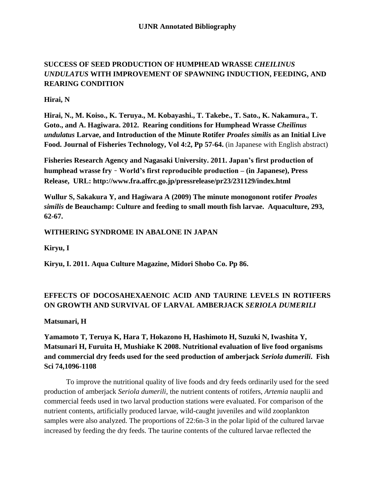# **SUCCESS OF SEED PRODUCTION OF HUMPHEAD WRASSE** *CHEILINUS UNDULATUS* **WITH IMPROVEMENT OF SPAWNING INDUCTION, FEEDING, AND REARING CONDITION**

#### **Hirai, N**

**Hirai, N., M. Koiso., K. Teruya., M. Kobayashi., T. Takebe., T. Sato., K. Nakamura., T. Goto., and A. Hagiwara. 2012. Rearing conditions for Humphead Wrasse** *Cheilinus undulatus* **Larvae, and Introduction of the Minute Rotifer** *Proales similis* **as an Initial Live Food. Journal of Fisheries Technology, Vol 4:2, Pp 57-64.** (in Japanese with English abstract)

**Fisheries Research Agency and Nagasaki University. 2011. Japan's first production of humphead wrasse fry** – **World's first reproducible production – (in Japanese), Press Release, URL: http://www.fra.affrc.go.jp/pressrelease/pr23/231129/index.html**

**Wullur S, Sakakura Y, and Hagiwara A (2009) The minute monogonont rotifer** *Proales similis* **de Beauchamp: Culture and feeding to small mouth fish larvae. Aquaculture, 293, 62-67.**

#### **WITHERING SYNDROME IN ABALONE IN JAPAN**

**Kiryu, I**

**Kiryu, I. 2011. Aqua Culture Magazine, Midori Shobo Co. Pp 86.**

# **EFFECTS OF DOCOSAHEXAENOIC ACID AND TAURINE LEVELS IN ROTIFERS ON GROWTH AND SURVIVAL OF LARVAL AMBERJACK** *SERIOLA DUMERILI*

**Matsunari, H**

**Yamamoto T, Teruya K, Hara T, Hokazono H, Hashimoto H, Suzuki N, Iwashita Y, Matsunari H, Furuita H, Mushiake K 2008. Nutritional evaluation of live food organisms and commercial dry feeds used for the seed production of amberjack** *Seriola dumerili***. Fish Sci 74,1096-1108**

To improve the nutritional quality of live foods and dry feeds ordinarily used for the seed production of amberjack *Seriola dumerili*, the nutrient contents of rotifers, *Artemia* nauplii and commercial feeds used in two larval production stations were evaluated. For comparison of the nutrient contents, artificially produced larvae, wild-caught juveniles and wild zooplankton samples were also analyzed. The proportions of 22:6n-3 in the polar lipid of the cultured larvae increased by feeding the dry feeds. The taurine contents of the cultured larvae reflected the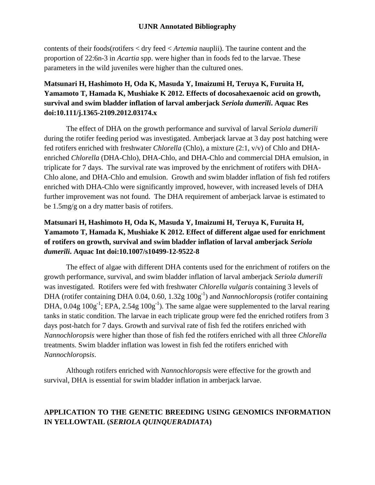contents of their foods(rotifers < dry feed < *Artemia* nauplii). The taurine content and the proportion of 22:6n-3 in *Acartia* spp. were higher than in foods fed to the larvae. These parameters in the wild juveniles were higher than the cultured ones.

### **Matsunari H, Hashimoto H, Oda K, Masuda Y, Imaizumi H, Teruya K, Furuita H, Yamamoto T, Hamada K, Mushiake K 2012. Effects of docosahexaenoic acid on growth, survival and swim bladder inflation of larval amberjack** *Seriola dumerili***. Aquac Res doi:10.111/j.1365-2109.2012.03174.x**

The effect of DHA on the growth performance and survival of larval *Seriola dumerili*  during the rotifer feeding period was investigated. Amberjack larvae at 3 day post hatching were fed rotifers enriched with freshwater *Chlorella* (Chlo), a mixture (2:1, v/v) of Chlo and DHAenriched *Chlorella* (DHA-Chlo), DHA-Chlo, and DHA-Chlo and commercial DHA emulsion, in triplicate for 7 days. The survival rate was improved by the enrichment of rotifers with DHA-Chlo alone, and DHA-Chlo and emulsion. Growth and swim bladder inflation of fish fed rotifers enriched with DHA-Chlo were significantly improved, however, with increased levels of DHA further improvement was not found. The DHA requirement of amberjack larvae is estimated to be 1.5mg/g on a dry matter basis of rotifers.

# **Matsunari H, Hashimoto H, Oda K, Masuda Y, Imaizumi H, Teruya K, Furuita H, Yamamoto T, Hamada K, Mushiake K 2012. Effect of different algae used for enrichment of rotifers on growth, survival and swim bladder inflation of larval amberjack** *Seriola dumerili***. Aquac Int doi:10.1007/s10499-12-9522-8**

The effect of algae with different DHA contents used for the enrichment of rotifers on the growth performance, survival, and swim bladder inflation of larval amberjack *Seriola dumerili* was investigated. Rotifers were fed with freshwater *Chlorella vulgaris* containing 3 levels of DHA (rotifer containing DHA 0.04, 0.60, 1.32g 100g<sup>-1</sup>) and *Nannochloropsis* (rotifer containing DHA,  $0.04g$   $100g^{-1}$ ; EPA,  $2.54g$   $100g^{-1}$ ). The same algae were supplemented to the larval rearing tanks in static condition. The larvae in each triplicate group were fed the enriched rotifers from 3 days post-hatch for 7 days. Growth and survival rate of fish fed the rotifers enriched with *Nannochloropsis* were higher than those of fish fed the rotifers enriched with all three *Chlorella* treatments. Swim bladder inflation was lowest in fish fed the rotifers enriched with *Nannochloropsis*.

Although rotifers enriched with *Nannochloropsis* were effective for the growth and survival, DHA is essential for swim bladder inflation in amberjack larvae.

# **APPLICATION TO THE GENETIC BREEDING USING GENOMICS INFORMATION IN YELLOWTAIL (***SERIOLA QUINQUERADIATA***)**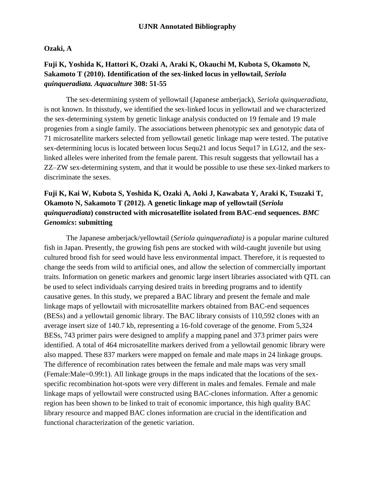#### **Ozaki, A**

### **Fuji K, Yoshida K, Hattori K, Ozaki A, Araki K, Okauchi M, Kubota S, Okamoto N, Sakamoto T (2010). Identification of the sex-linked locus in yellowtail,** *Seriola quinqueradiata. Aquaculture* **308: 51-55**

The sex-determining system of yellowtail (Japanese amberjack), *Seriola quinqueradiata*, is not known. In thisstudy, we identified the sex-linked locus in yellowtail and we characterized the sex-determining system by genetic linkage analysis conducted on 19 female and 19 male progenies from a single family. The associations between phenotypic sex and genotypic data of 71 microsatellite markers selected from yellowtail genetic linkage map were tested. The putative sex-determining locus is located between locus Sequ21 and locus Sequ17 in LG12, and the sexlinked alleles were inherited from the female parent. This result suggests that yellowtail has a ZZ–ZW sex-determining system, and that it would be possible to use these sex-linked markers to discriminate the sexes.

# **Fuji K, Kai W, Kubota S, Yoshida K, Ozaki A, Aoki J, Kawabata Y, Araki K, Tsuzaki T, Okamoto N, Sakamoto T (2012). A genetic linkage map of yellowtail (***Seriola quinqueradiata***) constructed with microsatellite isolated from BAC-end sequences.** *BMC Genomics***: submitting**

The Japanese amberjack/yellowtail (*Seriola quinqueradiata)* is a popular marine cultured fish in Japan. Presently, the growing fish pens are stocked with wild-caught juvenile but using cultured brood fish for seed would have less environmental impact. Therefore, it is requested to change the seeds from wild to artificial ones, and allow the selection of commercially important traits. Information on genetic markers and genomic large insert libraries associated with QTL can be used to select individuals carrying desired traits in breeding programs and to identify causative genes. In this study, we prepared a BAC library and present the female and male linkage maps of yellowtail with microsatellite markers obtained from BAC-end sequences (BESs) and a yellowtail genomic library. The BAC library consists of 110,592 clones with an average insert size of 140.7 kb, representing a 16-fold coverage of the genome. From 5,324 BESs, 743 primer pairs were designed to amplify a mapping panel and 373 primer pairs were identified. A total of 464 microsatellite markers derived from a yellowtail genomic library were also mapped. These 837 markers were mapped on female and male maps in 24 linkage groups. The difference of recombination rates between the female and male maps was very small (Female:Male=0.99:1). All linkage groups in the maps indicated that the locations of the sexspecific recombination hot-spots were very different in males and females. Female and male linkage maps of yellowtail were constructed using BAC-clones information. After a genomic region has been shown to be linked to trait of economic importance, this high quality BAC library resource and mapped BAC clones information are crucial in the identification and functional characterization of the genetic variation.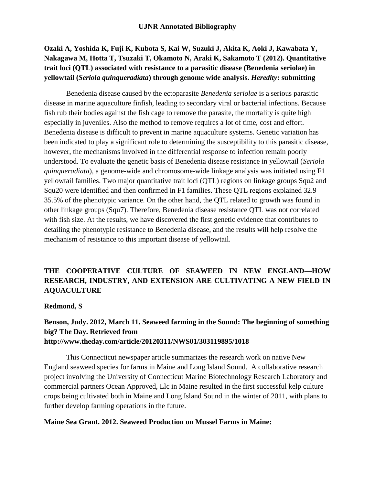### **Ozaki A, Yoshida K, Fuji K, Kubota S, Kai W, Suzuki J, Akita K, Aoki J, Kawabata Y, Nakagawa M, Hotta T, Tsuzaki T, Okamoto N, Araki K, Sakamoto T (2012). Quantitative trait loci (QTL) associated with resistance to a parasitic disease (Benedenia seriolae) in yellowtail (***Seriola quinqueradiata***) through genome wide analysis.** *Heredity***: submitting**

Benedenia disease caused by the ectoparasite *Benedenia seriolae* is a serious parasitic disease in marine aquaculture finfish, leading to secondary viral or bacterial infections. Because fish rub their bodies against the fish cage to remove the parasite, the mortality is quite high especially in juveniles. Also the method to remove requires a lot of time, cost and effort. Benedenia disease is difficult to prevent in marine aquaculture systems. Genetic variation has been indicated to play a significant role to determining the susceptibility to this parasitic disease, however, the mechanisms involved in the differential response to infection remain poorly understood. To evaluate the genetic basis of Benedenia disease resistance in yellowtail (*Seriola quinqueradiata*), a genome-wide and chromosome-wide linkage analysis was initiated using F1 yellowtail families. Two major quantitative trait loci (QTL) regions on linkage groups Squ2 and Squ20 were identified and then confirmed in F1 families. These QTL regions explained 32.9– 35.5% of the phenotypic variance. On the other hand, the QTL related to growth was found in other linkage groups (Squ7). Therefore, Benedenia disease resistance QTL was not correlated with fish size. At the results, we have discovered the first genetic evidence that contributes to detailing the phenotypic resistance to Benedenia disease, and the results will help resolve the mechanism of resistance to this important disease of yellowtail.

### **THE COOPERATIVE CULTURE OF SEAWEED IN NEW ENGLAND—HOW RESEARCH, INDUSTRY, AND EXTENSION ARE CULTIVATING A NEW FIELD IN AQUACULTURE**

#### **Redmond, S**

#### **Benson, Judy. 2012, March 11. Seaweed farming in the Sound: The beginning of something big? The Day. Retrieved from <http://www.theday.com/article/20120311/NWS01/303119895/1018>**

This Connecticut newspaper article summarizes the research work on native New England seaweed species for farms in Maine and Long Island Sound. A collaborative research project involving the University of Connecticut Marine Biotechnology Research Laboratory and commercial partners Ocean Approved, Llc in Maine resulted in the first successful kelp culture crops being cultivated both in Maine and Long Island Sound in the winter of 2011, with plans to further develop farming operations in the future.

#### **Maine Sea Grant. 2012. Seaweed Production on Mussel Farms in Maine:**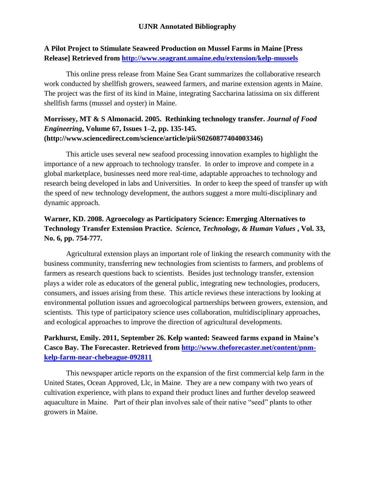#### **A Pilot Project to Stimulate Seaweed Production on Mussel Farms in Maine [Press Release] Retrieved from<http://www.seagrant.umaine.edu/extension/kelp-mussels>**

This online press release from Maine Sea Grant summarizes the collaborative research work conducted by shellfish growers, seaweed farmers, and marine extension agents in Maine. The project was the first of its kind in Maine, integrating Saccharina latissima on six different shellfish farms (mussel and oyster) in Maine.

#### **Morrissey, MT & S Almonacid. 2005. Rethinking technology transfer.** *Journal of Food Engineering***, Volume 67, Issues 1–2, pp. 135-145. (http://www.sciencedirect.com/science/article/pii/S0260877404003346)**

This article uses several new seafood processing innovation examples to highlight the importance of a new approach to technology transfer. In order to improve and compete in a global marketplace, businesses need more real-time, adaptable approaches to technology and research being developed in labs and Universities. In order to keep the speed of transfer up with the speed of new technology development, the authors suggest a more multi-disciplinary and dynamic approach.

### **Warner, KD. 2008. Agroecology as Participatory Science: Emerging Alternatives to Technology Transfer Extension Practice.** *Science, Technology, & Human Values* **, Vol. 33, No. 6, pp. 754-777.**

Agricultural extension plays an important role of linking the research community with the business community, transferring new technologies from scientists to farmers, and problems of farmers as research questions back to scientists. Besides just technology transfer, extension plays a wider role as educators of the general public, integrating new technologies, producers, consumers, and issues arising from these. This article reviews these interactions by looking at environmental pollution issues and agroecological partnerships between growers, extension, and scientists. This type of participatory science uses collaboration, multidisciplinary approaches, and ecological approaches to improve the direction of agricultural developments.

# **Parkhurst, Emily. 2011, September 26. Kelp wanted: Seaweed farms expand in Maine's Casco Bay. The Forecaster. Retrieved from [http://www.theforecaster.net/content/pnm](http://www.theforecaster.net/content/pnm-kelp-farm-near-chebeague-092811)[kelp-farm-near-chebeague-092811](http://www.theforecaster.net/content/pnm-kelp-farm-near-chebeague-092811)**

This newspaper article reports on the expansion of the first commercial kelp farm in the United States, Ocean Approved, Llc, in Maine. They are a new company with two years of cultivation experience, with plans to expand their product lines and further develop seaweed aquaculture in Maine. Part of their plan involves sale of their native "seed" plants to other growers in Maine.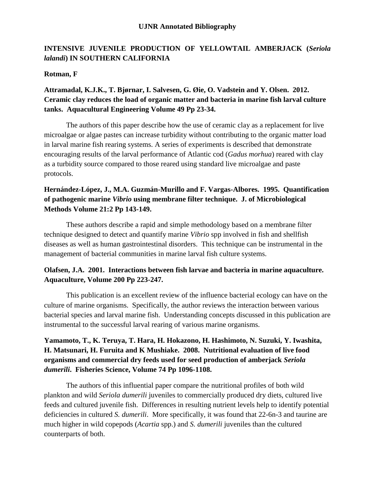#### **INTENSIVE JUVENILE PRODUCTION OF YELLOWTAIL AMBERJACK (***Seriola lalandi***) IN SOUTHERN CALIFORNIA**

#### **Rotman, F**

### **Attramadal, K.J.K., T. Bjørnar, I. Salvesen, G. Øie, O. Vadstein and Y. Olsen. 2012. Ceramic clay reduces the load of organic matter and bacteria in marine fish larval culture tanks. Aquacultural Engineering Volume 49 Pp 23-34.**

The authors of this paper describe how the use of ceramic clay as a replacement for live microalgae or algae pastes can increase turbidity without contributing to the organic matter load in larval marine fish rearing systems. A series of experiments is described that demonstrate encouraging results of the larval performance of Atlantic cod (*Gadus morhua*) reared with clay as a turbidity source compared to those reared using standard live microalgae and paste protocols.

### **Hernández-López, J., M.A. Guzmán-Murillo and F. Vargas-Albores. 1995. Quantification of pathogenic marine** *Vibrio* **using membrane filter technique. J. of Microbiological Methods Volume 21:2 Pp 143-149.**

These authors describe a rapid and simple methodology based on a membrane filter technique designed to detect and quantify marine *Vibrio* spp involved in fish and shellfish diseases as well as human gastrointestinal disorders. This technique can be instrumental in the management of bacterial communities in marine larval fish culture systems.

#### **Olafsen, J.A. 2001. Interactions between fish larvae and bacteria in marine aquaculture. Aquaculture, Volume 200 Pp 223-247.**

This publication is an excellent review of the influence bacterial ecology can have on the culture of marine organisms. Specifically, the author reviews the interaction between various bacterial species and larval marine fish. Understanding concepts discussed in this publication are instrumental to the successful larval rearing of various marine organisms.

### **Yamamoto, T., K. Teruya, T. Hara, H. Hokazono, H. Hashimoto, N. Suzuki, Y. Iwashita, H. Matsunari, H. Furuita and K Mushiake. 2008. Nutritional evaluation of live food organisms and commercial dry feeds used for seed production of amberjack** *Seriola dumerili***. Fisheries Science, Volume 74 Pp 1096-1108.**

The authors of this influential paper compare the nutritional profiles of both wild plankton and wild *Seriola dumerili* juveniles to commercially produced dry diets, cultured live feeds and cultured juvenile fish. Differences in resulting nutrient levels help to identify potential deficiencies in cultured *S. dumerili*. More specifically, it was found that 22-6n-3 and taurine are much higher in wild copepods (*Acartia* spp.) and *S. dumerili* juveniles than the cultured counterparts of both.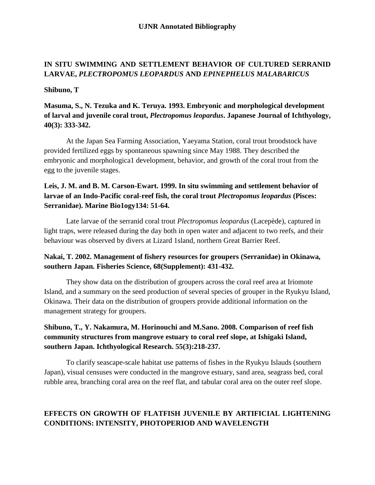# **IN SITU SWIMMING AND SETTLEMENT BEHAVIOR OF CULTURED SERRANID LARVAE,** *PLECTROPOMUS LEOPARDUS* **AND** *EPINEPHELUS MALABARICUS*

#### **Shibuno, T**

### **Masuma, S., N. Tezuka and K. Teruya. 1993. Embryonic and morphological development of larval and juvenile coral trout,** *Plectropomus leopardus***. Japanese Journal of Ichthyology, 40(3): 333-342.**

At the Japan Sea Farming Association, Yaeyama Station, coral trout broodstock have provided fertilized eggs by spontaneous spawning since May 1988. They described the embryonic and morphologica1 development, behavior, and growth of the coral trout from the egg to the juvenile stages.

### **Leis, J. M. and B. M. Carson-Ewart. 1999. In situ swimming and settlement behavior of larvae of an Indo-Pacific coral-reef fish, the coral trout** *Plectropomus leopardus* **(Pisces: Serranidae). Marine Bio1ogy134: 51-64.**

Late larvae of the serranid coral trout *Plectropomus leopardus* (Lacepède), captured in light traps, were released during the day both in open water and adjacent to two reefs, and their behaviour was observed by divers at Lizard 1sland, northern Great Barrier Reef.

#### **Nakai, T. 2002. Management of fishery resources for groupers (Serranidae) in Okinawa***,*  **southern Japan***.* **Fisheries Science, 68(Supplement): 431-432.**

They show data on the distribution of groupers across the coral reef area at Iriomote Island, and a summary on the seed production of several species of grouper in the Ryukyu Island, Okinawa. Their data on the distribution of groupers provide additional information on the management strategy for groupers.

### **Shibuno, T., Y. Nakamura, M. Horinouchi and M.Sano. 2008. Comparison of reef fish community structures from mangrove estuary to coral reef slope, at Ishigaki Island, southern Japan. Ichthyological Research. 55(3):218-237.**

To clarify seascape-scale habitat use patterns of fishes in the Ryukyu Islauds (southern Japan), visual censuses were conducted in the mangrove estuary, sand area, seagrass bed, coral rubble area, branching coral area on the reef flat, and tabular coral area on the outer reef slope.

### **EFFECTS ON GROWTH OF FLATFISH JUVENILE BY ARTIFICIAL LIGHTENING CONDITIONS: INTENSITY, PHOTOPERIOD AND WAVELENGTH**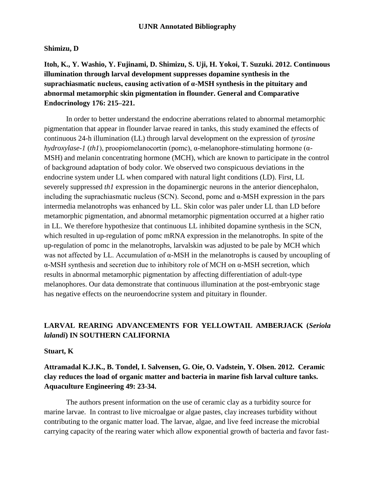#### **Shimizu, D**

**Itoh, K., Y. Washio, Y. Fujinami, D. Shimizu, S. Uji, H. Yokoi, T. Suzuki. 2012. Continuous illumination through larval development suppresses dopamine synthesis in the suprachiasmatic nucleus, causing activation of α-MSH synthesis in the pituitary and abnormal metamorphic skin pigmentation in flounder. General and Comparative Endocrinology 176: 215–221.**

In order to better understand the endocrine aberrations related to abnormal metamorphic pigmentation that appear in flounder larvae reared in tanks, this study examined the effects of continuous 24-h illumination (LL) through larval development on the expression of *tyrosine hydroxylase-1* (*th1*), proopiomelanocortin (pomc), α-melanophore-stimulating hormone (α-MSH) and melanin concentrating hormone (MCH), which are known to participate in the control of background adaptation of body color. We observed two conspicuous deviations in the endocrine system under LL when compared with natural light conditions (LD). First, LL severely suppressed *th1* expression in the dopaminergic neurons in the anterior diencephalon, including the suprachiasmatic nucleus (SCN). Second, pomc and  $\alpha$ -MSH expression in the pars intermedia melanotrophs was enhanced by LL. Skin color was paler under LL than LD before metamorphic pigmentation, and abnormal metamorphic pigmentation occurred at a higher ratio in LL. We therefore hypothesize that continuous LL inhibited dopamine synthesis in the SCN, which resulted in up-regulation of pomc mRNA expression in the melanotrophs. In spite of the up-regulation of pomc in the melanotrophs, larvalskin was adjusted to be pale by MCH which was not affected by LL. Accumulation of α-MSH in the melanotrophs is caused by uncoupling of α-MSH synthesis and secretion due to inhibitory role of MCH on α-MSH secretion, which results in abnormal metamorphic pigmentation by affecting differentiation of adult-type melanophores. Our data demonstrate that continuous illumination at the post-embryonic stage has negative effects on the neuroendocrine system and pituitary in flounder.

# **LARVAL REARING ADVANCEMENTS FOR YELLOWTAIL AMBERJACK (***Seriola lalandi***) IN SOUTHERN CALIFORNIA**

#### **Stuart, K**

### **Attramadal K.J.K., B. Tondel, I. Salvensen, G. Oie, O. Vadstein, Y. Olsen. 2012. Ceramic clay reduces the load of organic matter and bacteria in marine fish larval culture tanks. Aquaculture Engineering 49: 23-34.**

The authors present information on the use of ceramic clay as a turbidity source for marine larvae. In contrast to live microalgae or algae pastes, clay increases turbidity without contributing to the organic matter load. The larvae, algae, and live feed increase the microbial carrying capacity of the rearing water which allow exponential growth of bacteria and favor fast-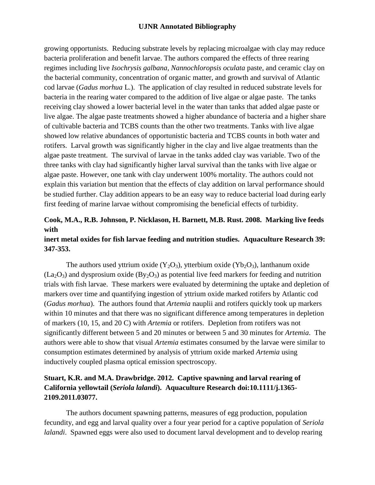growing opportunists. Reducing substrate levels by replacing microalgae with clay may reduce bacteria proliferation and benefit larvae. The authors compared the effects of three rearing regimes including live *Isochrysis galbana*, *Nannochloropsis oculata* paste, and ceramic clay on the bacterial community, concentration of organic matter, and growth and survival of Atlantic cod larvae (*Gadus morhua* L.). The application of clay resulted in reduced substrate levels for bacteria in the rearing water compared to the addition of live algae or algae paste. The tanks receiving clay showed a lower bacterial level in the water than tanks that added algae paste or live algae. The algae paste treatments showed a higher abundance of bacteria and a higher share of cultivable bacteria and TCBS counts than the other two treatments. Tanks with live algae showed low relative abundances of opportunistic bacteria and TCBS counts in both water and rotifers. Larval growth was significantly higher in the clay and live algae treatments than the algae paste treatment. The survival of larvae in the tanks added clay was variable. Two of the three tanks with clay had significantly higher larval survival than the tanks with live algae or algae paste. However, one tank with clay underwent 100% mortality. The authors could not explain this variation but mention that the effects of clay addition on larval performance should be studied further. Clay addition appears to be an easy way to reduce bacterial load during early first feeding of marine larvae without compromising the beneficial effects of turbidity.

#### **Cook, M.A., R.B. Johnson, P. Nicklason, H. Barnett, M.B. Rust. 2008. Marking live feeds with**

#### **inert metal oxides for fish larvae feeding and nutrition studies. Aquaculture Research 39: 347-353.**

The authors used yttrium oxide  $(Y_2O_3)$ , ytterbium oxide  $(Yb_2O_3)$ , lanthanum oxide  $(La<sub>2</sub>O<sub>3</sub>)$  and dysprosium oxide  $(By<sub>2</sub>O<sub>3</sub>)$  as potential live feed markers for feeding and nutrition trials with fish larvae. These markers were evaluated by determining the uptake and depletion of markers over time and quantifying ingestion of yttrium oxide marked rotifers by Atlantic cod (*Gadus morhua*). The authors found that *Artemia* nauplii and rotifers quickly took up markers within 10 minutes and that there was no significant difference among temperatures in depletion of markers (10, 15, and 20 C) with *Artemia* or rotifers. Depletion from rotifers was not significantly different between 5 and 20 minutes or between 5 and 30 minutes for *Artemia*. The authors were able to show that visual *Artemia* estimates consumed by the larvae were similar to consumption estimates determined by analysis of yttrium oxide marked *Artemia* using inductively coupled plasma optical emission spectroscopy.

### **Stuart, K.R. and M.A. Drawbridge. 2012. Captive spawning and larval rearing of California yellowtail (***Seriola lalandi***). Aquaculture Research doi:10.1111/j.1365- 2109.2011.03077.**

The authors document spawning patterns, measures of egg production, population fecundity, and egg and larval quality over a four year period for a captive population of *Seriola lalandi*. Spawned eggs were also used to document larval development and to develop rearing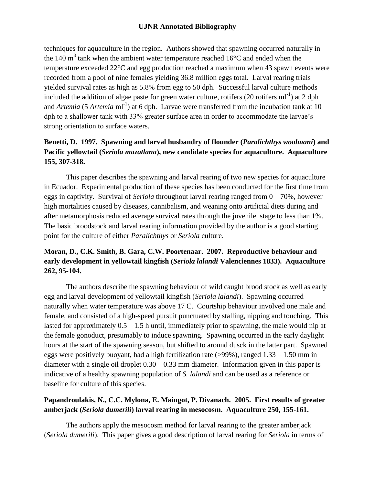techniques for aquaculture in the region. Authors showed that spawning occurred naturally in the 140 m<sup>3</sup> tank when the ambient water temperature reached 16 $\degree$ C and ended when the temperature exceeded 22°C and egg production reached a maximum when 43 spawn events were recorded from a pool of nine females yielding 36.8 million eggs total. Larval rearing trials yielded survival rates as high as 5.8% from egg to 50 dph. Successful larval culture methods included the addition of algae paste for green water culture, rotifers  $(20 \text{ rotifers ml}^{-1})$  at 2 dph and *Artemia* (5 *Artemia* ml<sup>-1</sup>) at 6 dph. Larvae were transferred from the incubation tank at 10 dph to a shallower tank with 33% greater surface area in order to accommodate the larvae's strong orientation to surface waters.

# **Benetti, D. 1997. Spawning and larval husbandry of flounder (***Paralichthys woolmani***) and Pacific yellowtail (***Seriola mazatlana***), new candidate species for aquaculture. Aquaculture 155, 307-318.**

This paper describes the spawning and larval rearing of two new species for aquaculture in Ecuador. Experimental production of these species has been conducted for the first time from eggs in captivity. Survival of *Seriola* throughout larval rearing ranged from 0 – 70%, however high mortalities caused by diseases, cannibalism, and weaning onto artificial diets during and after metamorphosis reduced average survival rates through the juvenile stage to less than 1%. The basic broodstock and larval rearing information provided by the author is a good starting point for the culture of either *Paralichthys* or *Seriola* culture.

# **Moran, D., C.K. Smith, B. Gara, C.W. Poortenaar. 2007. Reproductive behaviour and early development in yellowtail kingfish (***Seriola lalandi* **Valenciennes 1833). Aquaculture 262, 95-104.**

The authors describe the spawning behaviour of wild caught brood stock as well as early egg and larval development of yellowtail kingfish (*Seriola lalandi*). Spawning occurred naturally when water temperature was above 17 C. Courtship behaviour involved one male and female, and consisted of a high-speed pursuit punctuated by stalling, nipping and touching. This lasted for approximately  $0.5 - 1.5$  h until, immediately prior to spawning, the male would nip at the female gonoduct, presumably to induce spawning. Spawning occurred in the early daylight hours at the start of the spawning season, but shifted to around dusck in the latter part. Spawned eggs were positively buoyant, had a high fertilization rate  $(>99\%)$ , ranged  $1.33 - 1.50$  mm in diameter with a single oil droplet  $0.30 - 0.33$  mm diameter. Information given in this paper is indicative of a healthy spawning population of *S. lalandi* and can be used as a reference or baseline for culture of this species.

### **Papandroulakis, N., C.C. Mylona, E. Maingot, P. Divanach. 2005. First results of greater amberjack (***Seriola dumerili***) larval rearing in mesocosm. Aquaculture 250, 155-161.**

The authors apply the mesocosm method for larval rearing to the greater amberjack (*Seriola dumerili*). This paper gives a good description of larval rearing for *Seriola* in terms of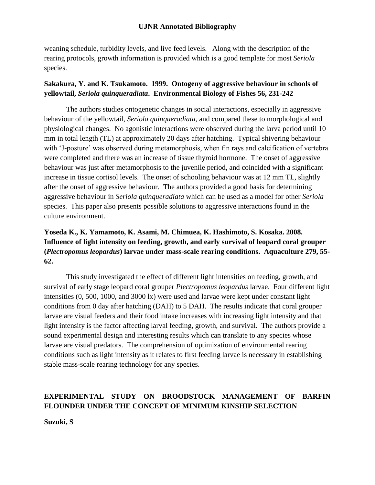weaning schedule, turbidity levels, and live feed levels. Along with the description of the rearing protocols, growth information is provided which is a good template for most *Seriola* species.

#### **Sakakura, Y. and K. Tsukamoto. 1999. Ontogeny of aggressive behaviour in schools of yellowtail,** *Seriola quinqueradiata***. Environmental Biology of Fishes 56, 231-242**

The authors studies ontogenetic changes in social interactions, especially in aggressive behaviour of the yellowtail, *Seriola quinqueradiata*, and compared these to morphological and physiological changes. No agonistic interactions were observed during the larva period until 10 mm in total length (TL) at approximately 20 days after hatching. Typical shivering behaviour with 'J-posture' was observed during metamorphosis, when fin rays and calcification of vertebra were completed and there was an increase of tissue thyroid hormone. The onset of aggressive behaviour was just after metamorphosis to the juvenile period, and coincided with a significant increase in tissue cortisol levels. The onset of schooling behaviour was at 12 mm TL, slightly after the onset of aggressive behaviour. The authors provided a good basis for determining aggressive behaviour in *Seriola quinqueradiata* which can be used as a model for other *Seriola* species. This paper also presents possible solutions to aggressive interactions found in the culture environment.

# **Yoseda K., K. Yamamoto, K. Asami, M. Chimuea, K. Hashimoto, S. Kosaka. 2008. Influence of light intensity on feeding, growth, and early survival of leopard coral grouper (***Plectropomus leopardus***) larvae under mass-scale rearing conditions. Aquaculture 279, 55- 62.**

This study investigated the effect of different light intensities on feeding, growth, and survival of early stage leopard coral grouper *Plectropomus leopardus* larvae. Four different light intensities (0, 500, 1000, and 3000 lx) were used and larvae were kept under constant light conditions from 0 day after hatching (DAH) to 5 DAH. The results indicate that coral grouper larvae are visual feeders and their food intake increases with increasing light intensity and that light intensity is the factor affecting larval feeding, growth, and survival. The authors provide a sound experimental design and interesting results which can translate to any species whose larvae are visual predators. The comprehension of optimization of environmental rearing conditions such as light intensity as it relates to first feeding larvae is necessary in establishing stable mass-scale rearing technology for any species.

# **EXPERIMENTAL STUDY ON BROODSTOCK MANAGEMENT OF BARFIN FLOUNDER UNDER THE CONCEPT OF MINIMUM KINSHIP SELECTION**

**Suzuki, S**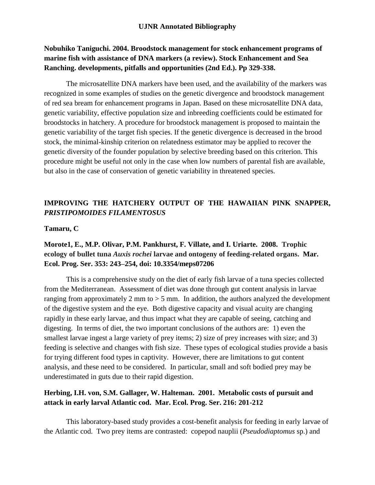#### **Nobuhiko Taniguchi. 2004. Broodstock management for stock enhancement programs of marine fish with assistance of DNA markers (a review). Stock Enhancement and Sea Ranching. developments, pitfalls and opportunities (2nd Ed.). Pp 329-338.**

The microsatellite DNA markers have been used, and the availability of the markers was recognized in some examples of studies on the genetic divergence and broodstock management of red sea bream for enhancement programs in Japan. Based on these microsatellite DNA data, genetic variability, effective population size and inbreeding coefficients could be estimated for broodstocks in hatchery. A procedure for broodstock management is proposed to maintain the genetic variability of the target fish species. If the genetic divergence is decreased in the brood stock, the minimal-kinship criterion on relatedness estimator may be applied to recover the genetic diversity of the founder population by selective breeding based on this criterion. This procedure might be useful not only in the case when low numbers of parental fish are available, but also in the case of conservation of genetic variability in threatened species.

# **IMPROVING THE HATCHERY OUTPUT OF THE HAWAIIAN PINK SNAPPER,**  *PRISTIPOMOIDES FILAMENTOSUS*

#### **Tamaru, C**

# **Morote1, E., M.P. Olivar, P.M. Pankhurst, F. Villate, and I. Uriarte. 2008. Trophic ecology of bullet tuna** *Auxis rochei* **larvae and ontogeny of feeding-related organs. Mar. Ecol. Prog. Ser. 353: 243–254, doi: 10.3354/meps07206**

This is a comprehensive study on the diet of early fish larvae of a tuna species collected from the Mediterranean. Assessment of diet was done through gut content analysis in larvae ranging from approximately 2 mm to  $> 5$  mm. In addition, the authors analyzed the development of the digestive system and the eye. Both digestive capacity and visual acuity are changing rapidly in these early larvae, and thus impact what they are capable of seeing, catching and digesting. In terms of diet, the two important conclusions of the authors are: 1) even the smallest larvae ingest a large variety of prey items; 2) size of prey increases with size; and 3) feeding is selective and changes with fish size. These types of ecological studies provide a basis for trying different food types in captivity. However, there are limitations to gut content analysis, and these need to be considered. In particular, small and soft bodied prey may be underestimated in guts due to their rapid digestion.

#### **Herbing, I.H. von, S.M. Gallager, W. Halteman. 2001. Metabolic costs of pursuit and attack in early larval Atlantic cod. Mar. Ecol. Prog. Ser. 216: 201-212**

This laboratory-based study provides a cost-benefit analysis for feeding in early larvae of the Atlantic cod. Two prey items are contrasted: copepod nauplii (*Pseudodiaptomus* sp.) and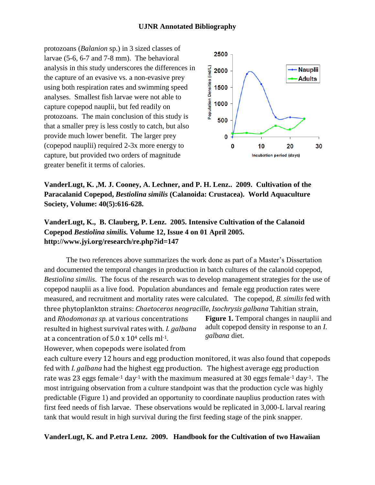protozoans (*Balanion* sp.) in 3 sized classes of larvae (5-6, 6-7 and 7-8 mm). The behavioral analysis in this study underscores the differences in the capture of an evasive vs. a non-evasive prey using both respiration rates and swimming speed analyses. Smallest fish larvae were not able to capture copepod nauplii, but fed readily on protozoans. The main conclusion of this study is that a smaller prey is less costly to catch, but also provide much lower benefit. The larger prey (copepod nauplii) required 2-3x more energy to capture, but provided two orders of magnitude greater benefit it terms of calories.



**VanderLugt, K. ,M. J. Cooney, A. Lechner, and P. H. Lenz.. 2009. Cultivation of the Paracalanid Copepod,** *Bestiolina similis* **(Calanoida: Crustacea). World Aquaculture Society, Volume: 40(5):616-628.**

#### **VanderLugt, K., B. Clauberg, P. Lenz. 2005. Intensive Cultivation of the Calanoid Copepod** *Bestiolina similis.* **Volume 12, Issue 4 on 01 April 2005. http://www.jyi.org/research/re.php?id=147**

The two references above summarizes the work done as part of a Master's Dissertation and documented the temporal changes in production in batch cultures of the calanoid copepod, *Bestiolina similis*. The focus of the research was to develop management strategies for the use of copepod nauplii as a live food. Population abundances and female egg production rates were measured, and recruitment and mortality rates were calculated. The copepod, *B. similis* fed with three phytoplankton strains: *Chaetoceros neogracille*, *Isochrysis galbana* Tahitian strain, and *Rhodomonas sp.* at various concentrations resulted in highest survival rates with*. I. galbana* at a concentration of 5.0 x 10<sup>4</sup> cells ml-1. **Figure 1.** Temporal changes in nauplii and adult copepod density in response to an *I. galbana* diet.

However, when copepods were isolated from each culture every 12 hours and egg production monitored, it was also found that copepods fed with *I. galbana* had the highest egg production. The highest average egg production rate was 23 eggs female<sup>-1</sup> day<sup>-1</sup> with the maximum measured at 30 eggs female<sup>-1</sup> day<sup>-1</sup>. The most intriguing observation from a culture standpoint was that the production cycle was highly predictable (Figure 1) and provided an opportunity to coordinate nauplius production rates with first feed needs of fish larvae. These observations would be replicated in 3,000-L larval rearing tank that would result in high survival during the first feeding stage of the pink snapper.

**VanderLugt, K. and P.etra Lenz. 2009. Handbook for the Cultivation of two Hawaiian**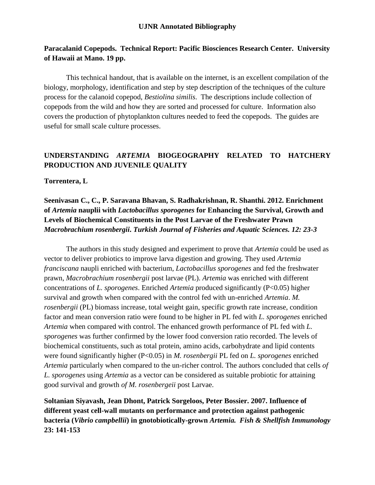### **Paracalanid Copepods. Technical Report: Pacific Biosciences Research Center. University of Hawaii at Mano. 19 pp.**

This technical handout, that is available on the internet, is an excellent compilation of the biology, morphology, identification and step by step description of the techniques of the culture process for the calanoid copepod, *Bestiolina similis*. The descriptions include collection of copepods from the wild and how they are sorted and processed for culture. Information also covers the production of phytoplankton cultures needed to feed the copepods. The guides are useful for small scale culture processes.

# **UNDERSTANDING** *ARTEMIA* **BIOGEOGRAPHY RELATED TO HATCHERY PRODUCTION AND JUVENILE QUALITY**

#### **Torrentera, L**

# **Seenivasan C., C., P. Saravana Bhavan, S. Radhakrishnan, R. Shanthi. 2012. Enrichment of** *Artemia* **nauplii with** *Lactobacillus sporogenes* **for Enhancing the Survival, Growth and Levels of Biochemical Constituents in the Post Larvae of the Freshwater Prawn**  *Macrobrachium rosenbergii***.** *Turkish Journal of Fisheries and Aquatic Sciences. 12: 23-3*

The authors in this study designed and experiment to prove that *Artemia* could be used as vector to deliver probiotics to improve larva digestion and growing. They used *Artemia franciscana* naupli enriched with bacterium, *Lactobacillus sporogenes* and fed the freshwater prawn, *Macrobrachium rosenbergii* post larvae (PL). *Artemia* was enriched with different concentrations of *L. sporogenes*. Enriched *Artemia* produced significantly (P<0.05) higher survival and growth when compared with the control fed with un-enriched *Artemia*. *M. rosenbergii* (PL) biomass increase, total weight gain, specific growth rate increase, condition factor and mean conversion ratio were found to be higher in PL fed with *L. sporogenes* enriched *Artemia* when compared with control. The enhanced growth performance of PL fed with *L. sporogenes* was further confirmed by the lower food conversion ratio recorded. The levels of biochemical constituents, such as total protein, amino acids, carbohydrate and lipid contents were found significantly higher (P<0.05) in *M. rosenbergii* PL fed on *L. sporogenes* enriched *Artemia* particularly when compared to the un-richer control. The authors concluded that cells *of L. sporogenes* using *Artemia* as a vector can be considered as suitable probiotic for attaining good survival and growth *of M. rosenbergeii* post Larvae.

**Soltanian Siyavash, Jean Dhont, Patrick Sorgeloos, Peter Bossier. 2007. Influence of different yeast cell-wall mutants on performance and protection against pathogenic bacteria (***Vibrio campbellii***) in gnotobiotically-grown** *Artemia. Fish & Shellfish Immunology*  **23: 141-153**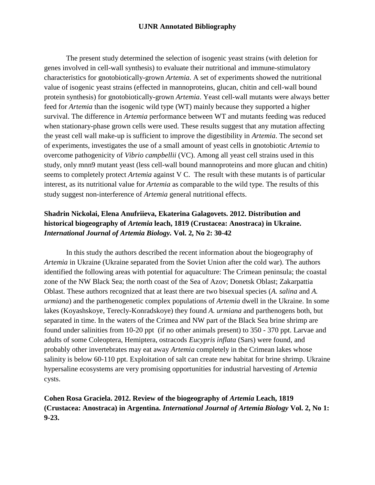The present study determined the selection of isogenic yeast strains (with deletion for genes involved in cell-wall synthesis) to evaluate their nutritional and immune-stimulatory characteristics for gnotobiotically-grown *Artemia*. A set of experiments showed the nutritional value of isogenic yeast strains (effected in mannoproteins, glucan, chitin and cell-wall bound protein synthesis) for gnotobiotically-grown *Artemia*. Yeast cell-wall mutants were always better feed for *Artemia* than the isogenic wild type (WT) mainly because they supported a higher survival. The difference in *Artemia* performance between WT and mutants feeding was reduced when stationary-phase grown cells were used. These results suggest that any mutation affecting the yeast cell wall make-up is sufficient to improve the digestibility in *Artemia*. The second set of experiments, investigates the use of a small amount of yeast cells in gnotobiotic *Artemia* to overcome pathogenicity of *Vibrio campbellii* (VC). Among all yeast cell strains used in this study, only mnn9 mutant yeast (less cell-wall bound mannoproteins and more glucan and chitin) seems to completely protect *Artemia* against V C. The result with these mutants is of particular interest, as its nutritional value for *Artemia* as comparable to the wild type. The results of this study suggest non-interference of *Artemia* general nutritional effects.

#### **Shadrin Nickolai, Elena Anufriieva, Ekaterina Galagovets. 2012. Distribution and historical biogeography of** *Artemia* **leach, 1819 (Crustacea: Anostraca) in Ukraine.**  *International Journal of Artemia Biology.* **Vol. 2, No 2: 30-42**

In this study the authors described the recent information about the biogeography of *Artemia* in Ukraine (Ukraine separated from the Soviet Union after the cold war). The authors identified the following areas with potential for aquaculture: The Crimean peninsula; the coastal zone of the NW Black Sea; the north coast of the Sea of Azov; Donetsk Oblast; Zakarpattia Oblast. These authors recognized that at least there are two bisexual species (*A. salina* and *A. urmiana*) and the parthenogenetic complex populations of *Artemia* dwell in the Ukraine. In some lakes (Koyashskoye, Terecly-Konradskoye) they found *A. urmiana* and parthenogens both, but separated in time. In the waters of the Crimea and NW part of the Black Sea brine shrimp are found under salinities from 10-20 ppt (if no other animals present) to 350 - 370 ppt. Larvae and adults of some Coleoptera, Hemiptera, ostracods *Eucypris inflata* (Sars) were found, and probably other invertebrates may eat away *Artemia* completely in the Crimean lakes whose salinity is below 60-110 ppt. Exploitation of salt can create new habitat for brine shrimp. Ukraine hypersaline ecosystems are very promising opportunities for industrial harvesting of *Artemia* cysts.

### **Cohen Rosa Graciela. 2012. Review of the biogeography of** *Artemia* **Leach, 1819 (Crustacea: Anostraca) in Argentina.** *International Journal of Artemia Biology* **Vol. 2, No 1: 9-23.**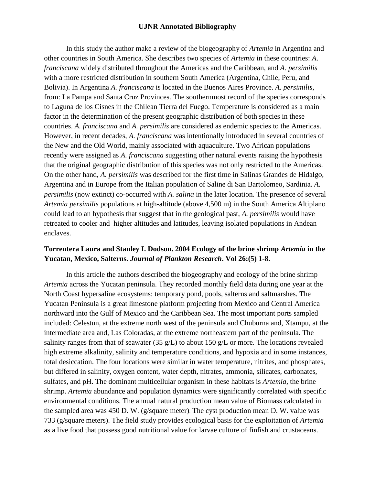In this study the author make a review of the biogeography of *Artemia* in Argentina and other countries in South America. She describes two species of *Artemia* in these countries: *A*. *franciscana* widely distributed throughout the Americas and the Caribbean, and *A. persimilis* with a more restricted distribution in southern South America (Argentina, Chile, Peru, and Bolivia). In Argentina *A. franciscana* is located in the Buenos Aires Province. *A. persimilis*, from: La Pampa and Santa Cruz Provinces. The southernmost record of the species corresponds to Laguna de los Cisnes in the Chilean Tierra del Fuego. Temperature is considered as a main factor in the determination of the present geographic distribution of both species in these countries. *A. franciscana* and *A. persimilis* are considered as endemic species to the Americas. However, in recent decades, *A. franciscana* was intentionally introduced in several countries of the New and the Old World, mainly associated with aquaculture. Two African populations recently were assigned as *A. franciscana* suggesting other natural events raising the hypothesis that the original geographic distribution of this species was not only restricted to the Americas. On the other hand, *A. persimilis* was described for the first time in Salinas Grandes de Hidalgo, Argentina and in Europe from the Italian population of Saline di San Bartolomeo, Sardinia. *A. persimilis* (now extinct) co-occurred with *A. salina* in the later location. The presence of several *Artemia persimilis* populations at high-altitude (above 4,500 m) in the South America Altiplano could lead to an hypothesis that suggest that in the geological past, *A. persimilis* would have retreated to cooler and higher altitudes and latitudes, leaving isolated populations in Andean enclaves.

#### **Torrentera Laura and Stanley I. Dodson. 2004 Ecology of the brine shrimp** *Artemia* **in the Yucatan, Mexico, Salterns.** *Journal of Plankton Research***. Vol 26:(5) 1-8.**

In this article the authors described the biogeography and ecology of the brine shrimp *Artemia* across the Yucatan peninsula. They recorded monthly field data during one year at the North Coast hypersaline ecosystems: temporary pond, pools, salterns and saltmarshes. The Yucatan Peninsula is a great limestone platform projecting from Mexico and Central America northward into the Gulf of Mexico and the Caribbean Sea. The most important ports sampled included: Celestun, at the extreme north west of the peninsula and Chuburna and, Xtampu, at the intermediate area and, Las Coloradas, at the extreme northeastern part of the peninsula. The salinity ranges from that of seawater (35 g/L) to about 150 g/L or more. The locations revealed high extreme alkalinity, salinity and temperature conditions, and hypoxia and in some instances, total desiccation. The four locations were similar in water temperature, nitrites, and phosphates, but differed in salinity, oxygen content, water depth, nitrates, ammonia, silicates, carbonates, sulfates, and pH. The dominant multicellular organism in these habitats is *Artemia*, the brine shrimp. *Artemia* abundance and population dynamics were significantly correlated with specific environmental conditions. The annual natural production mean value of Biomass calculated in the sampled area was 450 D. W. (g/square meter). The cyst production mean D. W. value was 733 (g/square meters). The field study provides ecological basis for the exploitation of *Artemia* as a live food that possess good nutritional value for larvae culture of finfish and crustaceans.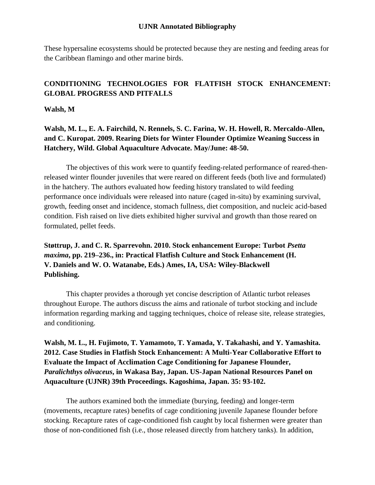These hypersaline ecosystems should be protected because they are nesting and feeding areas for the Caribbean flamingo and other marine birds.

### **CONDITIONING TECHNOLOGIES FOR FLATFISH STOCK ENHANCEMENT: GLOBAL PROGRESS AND PITFALLS**

**Walsh, M**

**Walsh, M. L., E. A. Fairchild, N. Rennels, S. C. Farina, W. H. Howell, R. Mercaldo-Allen, and C. Kuropat. 2009. Rearing Diets for Winter Flounder Optimize Weaning Success in Hatchery, Wild. Global Aquaculture Advocate. May/June: 48-50.**

The objectives of this work were to quantify feeding-related performance of reared-thenreleased winter flounder juveniles that were reared on different feeds (both live and formulated) in the hatchery. The authors evaluated how feeding history translated to wild feeding performance once individuals were released into nature (caged in-situ) by examining survival, growth, feeding onset and incidence, stomach fullness, diet composition, and nucleic acid-based condition. Fish raised on live diets exhibited higher survival and growth than those reared on formulated, pellet feeds.

**Støttrup, J. and C. R. Sparrevohn. 2010. Stock enhancement Europe: Turbot** *Psetta maxima***, pp. 219–236., in: Practical Flatfish Culture and Stock Enhancement (H. V. Daniels and W. O. Watanabe, Eds.) Ames, IA, USA: Wiley-Blackwell Publishing.**

This chapter provides a thorough yet concise description of Atlantic turbot releases throughout Europe. The authors discuss the aims and rationale of turbot stocking and include information regarding marking and tagging techniques, choice of release site, release strategies, and conditioning.

**Walsh, M. L., H. Fujimoto, T. Yamamoto, T. Yamada, Y. Takahashi, and Y. Yamashita. 2012. Case Studies in Flatfish Stock Enhancement: A Multi-Year Collaborative Effort to Evaluate the Impact of Acclimation Cage Conditioning for Japanese Flounder,**  *Paralichthys olivaceus***, in Wakasa Bay, Japan. US-Japan National Resources Panel on Aquaculture (UJNR) 39th Proceedings. Kagoshima, Japan. 35: 93-102.**

The authors examined both the immediate (burying, feeding) and longer-term (movements, recapture rates) benefits of cage conditioning juvenile Japanese flounder before stocking. Recapture rates of cage-conditioned fish caught by local fishermen were greater than those of non-conditioned fish (i.e., those released directly from hatchery tanks). In addition,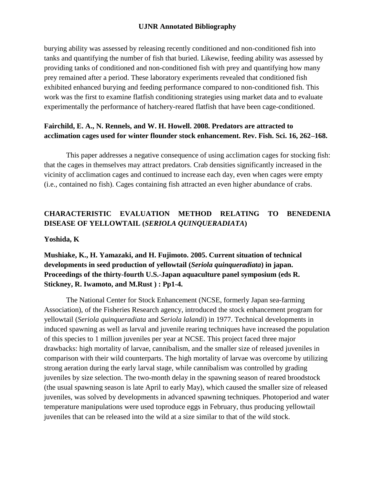burying ability was assessed by releasing recently conditioned and non-conditioned fish into tanks and quantifying the number of fish that buried. Likewise, feeding ability was assessed by providing tanks of conditioned and non-conditioned fish with prey and quantifying how many prey remained after a period. These laboratory experiments revealed that conditioned fish exhibited enhanced burying and feeding performance compared to non-conditioned fish. This work was the first to examine flatfish conditioning strategies using market data and to evaluate experimentally the performance of hatchery-reared flatfish that have been cage-conditioned.

#### **Fairchild, E. A., N. Rennels, and W. H. Howell. 2008. Predators are attracted to acclimation cages used for winter flounder stock enhancement. Rev. Fish. Sci. 16, 262–168.**

This paper addresses a negative consequence of using acclimation cages for stocking fish: that the cages in themselves may attract predators. Crab densities significantly increased in the vicinity of acclimation cages and continued to increase each day, even when cages were empty (i.e., contained no fish). Cages containing fish attracted an even higher abundance of crabs.

# **CHARACTERISTIC EVALUATION METHOD RELATING TO BENEDENIA DISEASE OF YELLOWTAIL (***SERIOLA QUINQUERADIATA***)**

#### **Yoshida, K**

### **Mushiake, K., H. Yamazaki, and H. Fujimoto. 2005. Current situation of technical developments in seed production of yellowtail (***Seriola quinqueradiata***) in japan. Proceedings of the thirty-fourth U.S.-Japan aquaculture panel symposium (eds R. Stickney, R. Iwamoto, and M.Rust ) : Pp1-4.**

The National Center for Stock Enhancement (NCSE, formerly Japan sea-farming Association), of the Fisheries Research agency, introduced the stock enhancement program for yellowtail (*Seriola quinqueradiata* and *Seriola lalandi*) in 1977. Technical developments in induced spawning as well as larval and juvenile rearing techniques have increased the population of this species to 1 million juveniles per year at NCSE. This project faced three major drawbacks: high mortality of larvae, cannibalism, and the smaller size of released juveniles in comparison with their wild counterparts. The high mortality of larvae was overcome by utilizing strong aeration during the early larval stage, while cannibalism was controlled by grading juveniles by size selection. The two-month delay in the spawning season of reared broodstock (the usual spawning season is late April to early May), which caused the smaller size of released juveniles, was solved by developments in advanced spawning techniques. Photoperiod and water temperature manipulations were used toproduce eggs in February, thus producing yellowtail juveniles that can be released into the wild at a size similar to that of the wild stock.